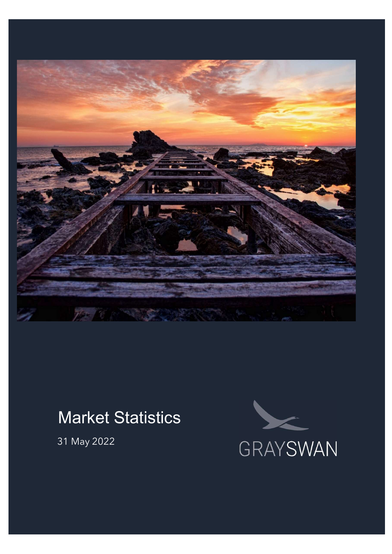

# Market Statistics

31 May 2022

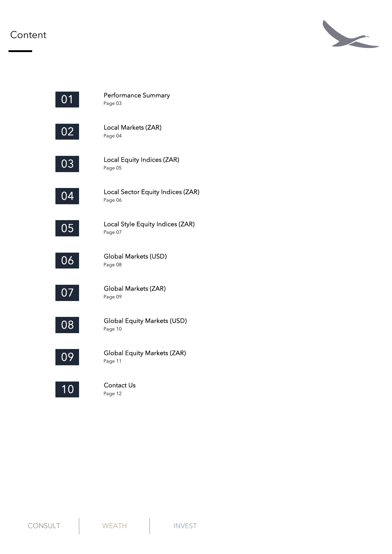#### Content





Page 03 Performance Summary

Page 04 Local Markets (ZAR)



Page 05 Local Equity Indices (ZAR)



Page 06 Local Sector Equity Indices (ZAR)



Page 07 Local Style Equity Indices (ZAR)



Page 08 Global Markets (USD)



Page 09 Global Markets (ZAR)



Page 10 Global Equity Markets (USD)



Page 11 Global Equity Markets (ZAR)



Page 12 Contact Us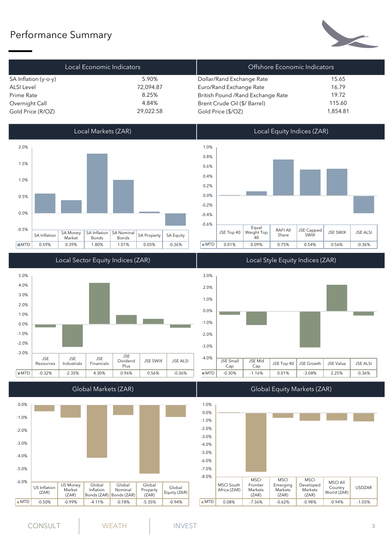### Performance Summary



|                      | Local Economic Indicators | Offshore Economic Indicators       |          |
|----------------------|---------------------------|------------------------------------|----------|
| SA Inflation (y-o-y) | 5.90%                     | Dollar/Rand Exchange Rate          | 15.65    |
| <b>ALSI Level</b>    | 72,094.87                 | Euro/Rand Exchange Rate            | 16.79    |
| Prime Rate           | 8.25%                     | British Pound / Rand Exchange Rate | 19.72    |
| Overnight Call       | 4.84%                     | Brent Crude Oil (\$/ Barrel)       | 115.60   |
| Gold Price (R/OZ)    | 29,022.58                 | Gold Price (\$/OZ)                 | 1,854.81 |



JSE JSE JSE Resources | Industrials | Financials |  $\frac{32}{10}$  $\begin{array}{c|c} \text{JSE} & \text{Dividend} \\ \text{Final} & \text{Plus} \end{array}$  JSE ALSI JSE Plus | | | | | | -3.0% -2.0% | 2.0% | 2.0% | 2.0% | 2.0% | 2.0% | 2.0% | 2.0% | 2.0% | 2.0% | 2.0% | 2.0% | 2.0% | 2.0% | 2.0% | 2.0% -1.0% о.0% <del>— поставать в составительных поставательных</del> постановких постановких постановких постановких постановких по<br>Постановких постановких постановких постановких постановких постановких постановких постановких постановких  $1.0\%$  |  $\blacksquare$  $2.0\%$  |  $\blacksquare$  $3.0\%$  |  $\blacksquare$  $4.0\%$  |  $\blacksquare$  $5.0\%$  and  $5.0\%$  and  $5.0\%$  and  $5.0\%$  and  $5.0\%$  and  $5.0\%$  and  $5.0\%$  and  $5.0\%$  and  $5.0\%$  and  $5.0\%$  and  $5.0\%$  and  $5.0\%$  and  $5.0\%$  and  $5.0\%$  and  $5.0\%$  and  $5.0\%$  and  $5.0\%$  and  $5.0\%$  and  $5.0\$ 





Global Markets (ZAR) **Global Equity Markets (ZAR)** 

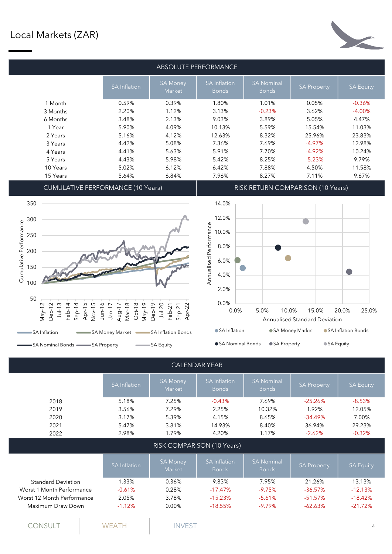

CUMULATIVE PERFORMANCE (10 Years) The RISK RETURN COMPARISON (10 Years)





|                            |                     |                           | <b>CALENDAR YEAR</b>                |                                   |                    |                  |
|----------------------------|---------------------|---------------------------|-------------------------------------|-----------------------------------|--------------------|------------------|
|                            | <b>SA</b> Inflation | <b>SA Money</b><br>Market | <b>SA Inflation</b><br><b>Bonds</b> | <b>SA Nominal</b><br><b>Bonds</b> | <b>SA Property</b> | <b>SA Equity</b> |
| 2018                       | 5.18%               | 7.25%                     | $-0.43%$                            | 7.69%                             | $-25.26%$          | $-8.53%$         |
| 2019                       | 3.56%               | 7.29%                     | 2.25%                               | 10.32%                            | 1.92%              | 12.05%           |
| 2020                       | 3.17%               | 5.39%                     | 4.15%                               | 8.65%                             | $-34.49%$          | 7.00%            |
| 2021                       | 5.47%               | 3.81%                     | 14.93%                              | 8.40%                             | 36.94%             | 29.23%           |
| 2022                       | 2.98%               | 1.79%                     | 4.20%                               | 1.17%                             | $-2.62%$           | $-0.32%$         |
|                            |                     |                           | RISK COMPARISON (10 Years)          |                                   |                    |                  |
|                            | <b>SA</b> Inflation | <b>SA Money</b><br>Market | <b>SA Inflation</b><br><b>Bonds</b> | <b>SA Nominal</b><br><b>Bonds</b> | <b>SA Property</b> | <b>SA Equity</b> |
| <b>Standard Deviation</b>  | 1.33%               | 0.36%                     | 9.83%                               | 7.95%                             | 21.26%             | 13.13%           |
| Worst 1 Month Performance  | $-0.61%$            | 0.28%                     | $-17.47%$                           | $-9.75%$                          | $-36.57%$          | $-12.13%$        |
| Worst 12 Month Performance | 2.05%               | 3.78%                     | $-15.23%$                           | $-5.61%$                          | $-51.57%$          | $-18.42%$        |
| Maximum Draw Down          | $-1.12%$            | 0.00%                     | $-18.55%$                           | $-9.79%$                          | $-62.63%$          | $-21.72%$        |
|                            |                     |                           |                                     |                                   |                    |                  |

CONSULT NEATH INVEST 4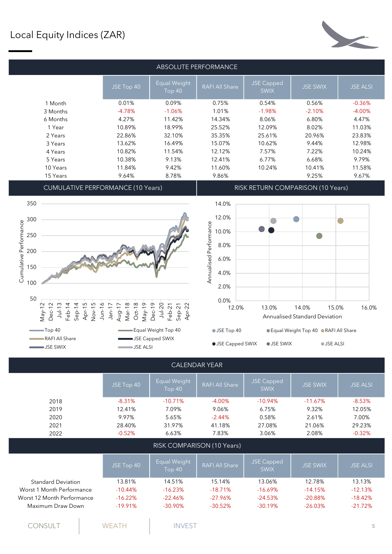# Local Equity Indices (ZAR)

| ABSOLUTE PERFORMANCE |            |                        |                       |                                  |                 |                 |  |  |  |
|----------------------|------------|------------------------|-----------------------|----------------------------------|-----------------|-----------------|--|--|--|
|                      | JSE Top 40 | Equal Weight<br>Top 40 | <b>RAFI All Share</b> | <b>JSE Capped</b><br><b>SWIX</b> | <b>JSE SWIX</b> | <b>JSE ALSI</b> |  |  |  |
| 1 Month              | 0.01%      | 0.09%                  | 0.75%                 | 0.54%                            | 0.56%           | $-0.36%$        |  |  |  |
| 3 Months             | $-4.78%$   | $-1.06%$               | 1.01%                 | $-1.98%$                         | $-2.10%$        | $-4.00%$        |  |  |  |
| 6 Months             | 4.27%      | 11.42%                 | 14.34%                | 8.06%                            | 6.80%           | 4.47%           |  |  |  |
| 1 Year               | 10.89%     | 18.99%                 | 25.52%                | 12.09%                           | 8.02%           | 11.03%          |  |  |  |
| 2 Years              | 22.86%     | 32.10%                 | 35.35%                | 25.61%                           | 20.96%          | 23.83%          |  |  |  |
| 3 Years              | 13.62%     | 16.49%                 | 15.07%                | 10.62%                           | 9.44%           | 12.98%          |  |  |  |
| 4 Years              | 10.82%     | 11.54%                 | 12.12%                | 7.57%                            | 7.22%           | 10.24%          |  |  |  |
| 5 Years              | 10.38%     | 9.13%                  | 12.41%                | 6.77%                            | 6.68%           | 9.79%           |  |  |  |
| 10 Years             | 11.84%     | 9.42%                  | 11.60%                | 10.24%                           | 10.41%          | 11.58%          |  |  |  |
| 15 Years             | 9.64%      | 8.78%                  | 9.86%                 |                                  | 9.25%           | 9.67%           |  |  |  |

CUMULATIVE PERFORMANCE (10 Years) RISK RETURN COMPARISON (10 Years)





|                            | JSE Top 40 | Equal Weight<br><b>Top 40</b> | <b>RAFI All Share</b> | <b>JSE Capped</b><br><b>SWIX</b> | <b>JSE SWIX</b> | <b>JSE ALSI</b> |
|----------------------------|------------|-------------------------------|-----------------------|----------------------------------|-----------------|-----------------|
| 2018                       | $-8.31%$   | $-10.71%$                     | $-4.00%$              | $-10.94%$                        | $-11.67%$       | $-8.53%$        |
| 2019                       | 12.41%     | 7.09%                         | 9.06%                 | 6.75%                            | 9.32%           | 12.05%          |
| 2020                       | 9.97%      | 5.65%                         | $-2.44%$              | 0.58%                            | 2.61%           | 7.00%           |
| 2021                       | 28.40%     | 31.97%                        | 41.18%                | 27.08%                           | 21.06%          | 29.23%          |
| 2022                       | $-0.52%$   | 6.63%                         | 7.83%                 | 3.06%                            | 2.08%           | $-0.32%$        |
| RISK COMPARISON (10 Years) |            |                               |                       |                                  |                 |                 |
|                            | JSE Top 40 | Equal Weight<br><b>Top 40</b> | <b>RAFI All Share</b> | <b>JSE Capped</b><br><b>SWIX</b> | <b>JSE SWIX</b> | <b>JSE ALSI</b> |
| <b>Standard Deviation</b>  | 13.81%     | 14.51%                        | 15.14%                | 13.06%                           | 12.78%          | 13.13%          |
| Worst 1 Month Performance  | $-10.44%$  | $-16.23%$                     | $-18.71%$             | $-16.69%$                        | $-14.15%$       | $-12.13%$       |
| Worst 12 Month Performance | $-16.22%$  | $-22.46%$                     | $-27.96%$             | $-24.53%$                        | $-20.88%$       | $-18.42%$       |
| Maximum Draw Down          | $-19.91%$  | $-30.90\%$                    | $-30.52%$             | $-30.19%$                        | $-26.03%$       | $-21.72%$       |
| CONSULT                    | WEATH      | <b>INVEST</b>                 |                       |                                  |                 | 5               |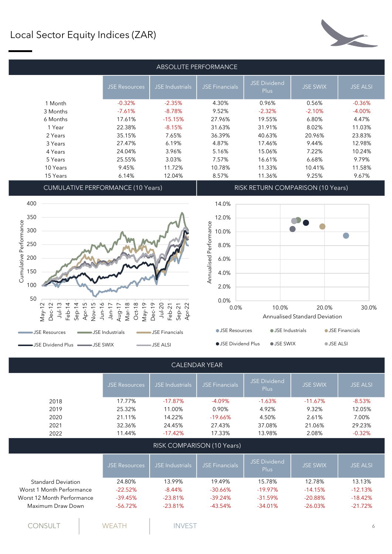## Local Sector Equity Indices (ZAR)



| ABSOLUTE PERFORMANCE |                      |                        |                |                                    |                 |                 |  |  |  |
|----------------------|----------------------|------------------------|----------------|------------------------------------|-----------------|-----------------|--|--|--|
|                      | <b>JSE Resources</b> | <b>JSE</b> Industrials | JSE Financials | <b>JSE Dividend</b><br><b>Plus</b> | <b>JSE SWIX</b> | <b>JSE ALSI</b> |  |  |  |
| 1 Month              | $-0.32%$             | $-2.35%$               | 4.30%          | 0.96%                              | 0.56%           | $-0.36%$        |  |  |  |
| 3 Months             | $-7.61%$             | $-8.78%$               | 9.52%          | $-2.32%$                           | $-2.10%$        | $-4.00%$        |  |  |  |
| 6 Months             | 17.61%               | $-15.15%$              | 27.96%         | 19.55%                             | 6.80%           | 4.47%           |  |  |  |
| 1 Year               | 22.38%               | $-8.15%$               | 31.63%         | 31.91%                             | 8.02%           | 11.03%          |  |  |  |
| 2 Years              | 35.15%               | 7.65%                  | 36.39%         | 40.63%                             | 20.96%          | 23.83%          |  |  |  |
| 3 Years              | 27.47%               | 6.19%                  | 4.87%          | 17.46%                             | 9.44%           | 12.98%          |  |  |  |
| 4 Years              | 24.04%               | 3.96%                  | 5.16%          | 15.06%                             | 7.22%           | 10.24%          |  |  |  |
| 5 Years              | 25.55%               | 3.03%                  | 7.57%          | 16.61%                             | 6.68%           | 9.79%           |  |  |  |
| 10 Years             | 9.45%                | 11.72%                 | 10.78%         | 11.33%                             | 10.41%          | 11.58%          |  |  |  |
| 15 Years             | 6.14%                | 12.04%                 | 8.57%          | 11.36%                             | 9.25%           | 9.67%           |  |  |  |
|                      |                      |                        |                |                                    |                 |                 |  |  |  |

CUMULATIVE PERFORMANCE (10 Years) RISK RETURN COMPARISON (10 Years)







● JSE Dividend Plus ● JSE SWIX ● JSE ALSI



|                            |                      |                        | UALLI 112 AI ILAI          |                                    |                 |                 |
|----------------------------|----------------------|------------------------|----------------------------|------------------------------------|-----------------|-----------------|
|                            | <b>JSE Resources</b> | <b>JSE</b> Industrials | <b>JSE Financials</b>      | <b>JSE Dividend</b><br><b>Plus</b> | <b>JSE SWIX</b> | <b>JSE ALSI</b> |
| 2018                       | 17.77%               | $-17.87%$              | $-4.09%$                   | $-1.63%$                           | $-11.67%$       | $-8.53%$        |
| 2019                       | 25.32%               | 11.00%                 | 0.90%                      | 4.92%                              | 9.32%           | 12.05%          |
| 2020                       | 21.11%               | 14.22%                 | $-19.66%$                  | 4.50%                              | 2.61%           | 7.00%           |
| 2021                       | 32.36%               | 24.45%                 | 27.43%                     | 37.08%                             | 21.06%          | 29.23%          |
| 2022                       | 11.44%               | $-17.42%$              | 17.33%                     | 13.98%                             | 2.08%           | $-0.32%$        |
|                            |                      |                        | RISK COMPARISON (10 Years) |                                    |                 |                 |
|                            | <b>JSE Resources</b> | <b>JSE</b> Industrials | <b>JSE Financials</b>      | <b>JSE Dividend</b><br>Plus        | <b>JSE SWIX</b> | <b>JSE ALSI</b> |
| <b>Standard Deviation</b>  | 24.80%               | 13.99%                 | 19.49%                     | 15.78%                             | 12.78%          | 13.13%          |
| Worst 1 Month Performance  | $-22.52%$            | $-8.44%$               | $-30.66%$                  | $-19.97\%$                         | $-14.15%$       | $-12.13%$       |
| Worst 12 Month Performance | $-39.45%$            | $-23.81%$              | $-39.24%$                  | $-31.59%$                          | $-20.88%$       | $-18.42%$       |
| Maximum Draw Down          | $-56.72%$            | $-23.81%$              | $-43.54%$                  | $-34.01%$                          | $-26.03%$       | $-21.72%$       |
| <b>CONSULT</b>             | <b>WEATH</b>         | <b>INVEST</b>          |                            |                                    |                 | 6               |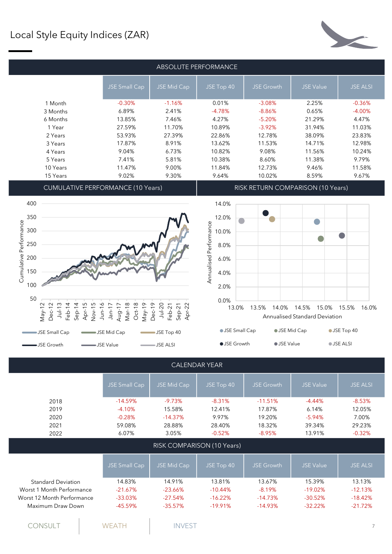#### Local Style Equity Indices (ZAR)



| ABSOLUTE PERFORMANCE |               |             |            |                   |                  |                 |  |  |
|----------------------|---------------|-------------|------------|-------------------|------------------|-----------------|--|--|
|                      | JSE Small Cap | JSE Mid Cap | JSE Top 40 | <b>JSE Growth</b> | <b>JSE Value</b> | <b>JSE ALSI</b> |  |  |
| 1 Month              | $-0.30%$      | $-1.16%$    | 0.01%      | $-3.08%$          | 2.25%            | $-0.36%$        |  |  |
| 3 Months             | 6.89%         | 2.41%       | $-4.78%$   | $-8.86%$          | 0.65%            | $-4.00%$        |  |  |
| 6 Months             | 13.85%        | 7.46%       | 4.27%      | $-5.20%$          | 21.29%           | 4.47%           |  |  |
| 1 Year               | 27.59%        | 11.70%      | 10.89%     | $-3.92%$          | 31.94%           | 11.03%          |  |  |
| 2 Years              | 53.93%        | 27.39%      | 22.86%     | 12.78%            | 38.09%           | 23.83%          |  |  |
| 3 Years              | 17.87%        | 8.91%       | 13.62%     | 11.53%            | 14.71%           | 12.98%          |  |  |
| 4 Years              | 9.04%         | 6.73%       | 10.82%     | 9.08%             | 11.56%           | 10.24%          |  |  |
| 5 Years              | 7.41%         | 5.81%       | 10.38%     | 8.60%             | 11.38%           | 9.79%           |  |  |
| 10 Years             | 11.47%        | 9.00%       | 11.84%     | 12.73%            | 9.46%            | 11.58%          |  |  |
| 15 Years             | 9.02%         | 9.30%       | 9.64%      | 10.02%            | 8.59%            | 9.67%           |  |  |
|                      |               |             |            |                   |                  |                 |  |  |

CUMULATIVE PERFORMANCE (10 Years) RISK RETURN COMPARISON (10 Years)







**JSE Value** JSE ALSI

Worst 12 Month Performance  $-33.03\%$  -27.54% -16.22% -14.73% -30.52% -18.42% Maximum Draw Down  $-45.59\%$  -35.57% -19.91% -14.93% -32.22% -21.72% RISK COMPARISON (10 Years) Standard Deviation 14.83% 14.91% 13.81% 13.67% 15.39% 13.13% Worst 1 Month Performance  $-21.67\%$  -23.66% -10.44% -8.19% -19.02% -12.13% 2020 -0.28% -14.37% 9.97% 19.20% -5.94% 7.00% 2021 59.08% 28.88% 28.40% 18.32% 39.34% 29.23% 2022 6.07% 3.05% -0.52% -8.95% 13.91% -0.32% 2018 -14.59% -9.73% -8.31% -11.51% -4.44% -8.53% 2019 -4.10% 15.58% 12.41% 17.87% 6.14% 12.05% CALENDAR YEAR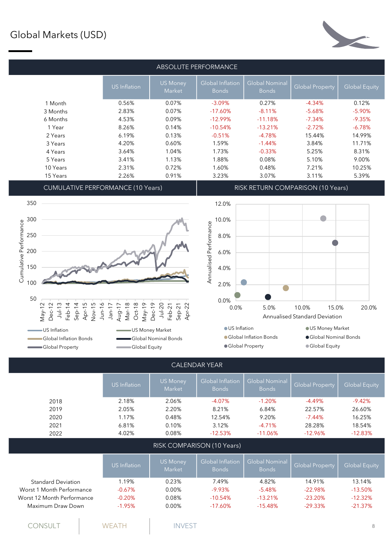# Global Markets (USD)



| ABSOLUTE PERFORMANCE                     |              |                           |                                         |                                       |                                   |                      |  |
|------------------------------------------|--------------|---------------------------|-----------------------------------------|---------------------------------------|-----------------------------------|----------------------|--|
|                                          | US Inflation | <b>US Money</b><br>Market | <b>Global Inflation</b><br><b>Bonds</b> | <b>Global Nominal</b><br><b>Bonds</b> | <b>Global Property</b>            | <b>Global Equity</b> |  |
| 1 Month                                  | 0.56%        | 0.07%                     | $-3.09\%$                               | 0.27%                                 | $-4.34%$                          | 0.12%                |  |
| 3 Months                                 | 2.83%        | 0.07%                     | $-17.60\%$                              | $-8.11%$                              | $-5.68%$                          | $-5.90%$             |  |
| 6 Months                                 | 4.53%        | 0.09%                     | $-12.99\%$                              | $-11.18%$                             | $-7.34%$                          | $-9.35%$             |  |
| 1 Year                                   | 8.26%        | 0.14%                     | $-10.54%$                               | $-13.21%$                             | $-2.72%$                          | $-6.78%$             |  |
| 2 Years                                  | 6.19%        | 0.13%                     | $-0.51%$                                | $-4.78%$                              | 15.44%                            | 14.99%               |  |
| 3 Years                                  | 4.20%        | 0.60%                     | 1.59%                                   | $-1.44%$                              | 3.84%                             | 11.71%               |  |
| 4 Years                                  | 3.64%        | 1.04%                     | 1.73%                                   | $-0.33%$                              | 5.25%                             | 8.31%                |  |
| 5 Years                                  | 3.41%        | 1.13%                     | 1.88%                                   | 0.08%                                 | 5.10%                             | 9.00%                |  |
| 10 Years                                 | 2.31%        | 0.72%                     | 1.60%                                   | 0.48%                                 | 7.21%                             | 10.25%               |  |
| 15 Years                                 | 2.26%        | 0.91%                     | 3.23%                                   | 3.07%                                 | 3.11%                             | 5.39%                |  |
| <b>CUMULATIVE PERFORMANCE (10 Years)</b> |              |                           |                                         |                                       | RISK RETURN COMPARISON (10 Years) |                      |  |





|                            | <b>US</b> Inflation | <b>US Money</b><br>Market | <b>Global Inflation</b><br><b>Bonds</b> | Global Nominal<br><b>Bonds</b> | <b>Global Property</b> | <b>Global Equity</b> |
|----------------------------|---------------------|---------------------------|-----------------------------------------|--------------------------------|------------------------|----------------------|
| 2018                       | 2.18%               | 2.06%                     | $-4.07%$                                | $-1.20%$                       | $-4.49%$               | $-9.42%$             |
| 2019                       | 2.05%               | 2.20%                     | 8.21%                                   | 6.84%                          | 22.57%                 | 26.60%               |
| 2020                       | 1.17%               | 0.48%                     | 12.54%                                  | 9.20%                          | $-7.44\%$              | 16.25%               |
| 2021                       | 6.81%               | 0.10%                     | 3.12%                                   | $-4.71%$                       | 28.28%                 | 18.54%               |
| 2022                       | 4.02%               | 0.08%                     | $-12.53%$                               | $-11.06%$                      | $-12.96%$              | $-12.83%$            |
|                            |                     |                           | RISK COMPARISON (10 Years)              |                                |                        |                      |
|                            | US Inflation        | <b>US Money</b><br>Market | <b>Global Inflation</b><br><b>Bonds</b> | Global Nominal<br><b>Bonds</b> | <b>Global Property</b> | <b>Global Equity</b> |
| <b>Standard Deviation</b>  | 1.19%               | 0.23%                     | 7.49%                                   | 4.82%                          | 14.91%                 | 13.14%               |
| Worst 1 Month Performance  | $-0.67%$            | 0.00%                     | $-9.93%$                                | $-5.48%$                       | $-22.98%$              | $-13.50%$            |
| Worst 12 Month Performance | $-0.20%$            | 0.08%                     | $-10.54%$                               | $-13.21%$                      | $-23.20%$              | $-12.32%$            |
| Maximum Draw Down          | $-1.95%$            | 0.00%                     | $-17.60%$                               | $-15.48%$                      | $-29.33\%$             | $-21.37%$            |
|                            |                     |                           |                                         |                                |                        |                      |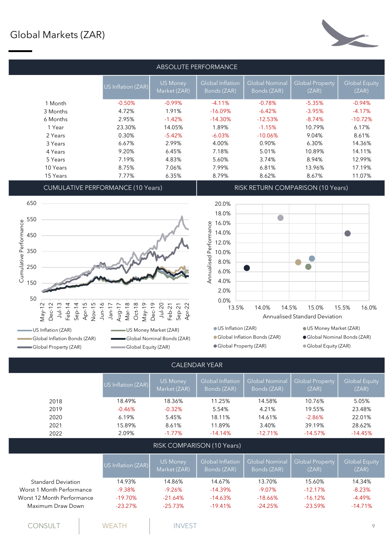#### Global Markets (ZAR)



|          |                    |                                 | ABSOLUTE PERFORMANCE            |                                      |                          |                               |
|----------|--------------------|---------------------------------|---------------------------------|--------------------------------------|--------------------------|-------------------------------|
|          | US Inflation (ZAR) | <b>US Money</b><br>Market (ZAR) | Global Inflation<br>Bonds (ZAR) | <b>Global Nominal</b><br>Bonds (ZAR) | Global Property<br>(ZAR) | <b>Global Equity</b><br>(ZAR) |
| 1 Month  | $-0.50%$           | $-0.99%$                        | $-4.11%$                        | $-0.78%$                             | $-5.35%$                 | $-0.94%$                      |
| 3 Months | 4.72%              | 1.91%                           | $-16.09%$                       | $-6.42%$                             | $-3.95%$                 | $-4.17%$                      |
| 6 Months | 2.95%              | $-1.42%$                        | $-14.30%$                       | $-12.53%$                            | $-8.74%$                 | $-10.72%$                     |
| 1 Year   | 23.30%             | 14.05%                          | 1.89%                           | $-1.15%$                             | 10.79%                   | 6.17%                         |
| 2 Years  | 0.30%              | $-5.42%$                        | $-6.03%$                        | $-10.06%$                            | 9.04%                    | 8.61%                         |
| 3 Years  | 6.67%              | 2.99%                           | 4.00%                           | 0.90%                                | 6.30%                    | 14.36%                        |
| 4 Years  | 9.20%              | 6.45%                           | 7.18%                           | 5.01%                                | 10.89%                   | 14.11%                        |
| 5 Years  | 7.19%              | 4.83%                           | 5.60%                           | 3.74%                                | 8.94%                    | 12.99%                        |
| 10 Years | 8.75%              | 7.06%                           | 7.99%                           | 6.81%                                | 13.96%                   | 17.19%                        |
| 15 Years | 7.77%              | 6.35%                           | 8.79%                           | 8.62%                                | 8.67%                    | 11.07%                        |
|          |                    |                                 |                                 |                                      |                          |                               |

CUMULATIVE PERFORMANCE (10 Years) RISK RETURN COMPARISON (10 Years)



Global Property (ZAR) Global Equity (ZAR)

Global Property (ZAR) Global Equity (ZAR)



Global Nominal Bonds (ZAR)

|                            |                    |                                 | <u> C/ \LLI \L/ \I \I L/ \I \</u> |                               |                                 |                               |
|----------------------------|--------------------|---------------------------------|-----------------------------------|-------------------------------|---------------------------------|-------------------------------|
|                            | US Inflation (ZAR) | <b>US Money</b><br>Market (ZAR) | Global Inflation<br>Bonds (ZAR)   | Global Nominal<br>Bonds (ZAR) | <b>Global Property</b><br>(ZAR) | <b>Global Equity</b><br>(ZAR) |
| 2018                       | 18.49%             | 18.36%                          | 11.25%                            | 14.58%                        | 10.76%                          | 5.05%                         |
| 2019                       | $-0.46%$           | $-0.32%$                        | 5.54%                             | 4.21%                         | 19.55%                          | 23.48%                        |
| 2020                       | 6.19%              | 5.45%                           | 18.11%                            | 14.61%                        | $-2.86%$                        | 22.01%                        |
| 2021                       | 15.89%             | 8.61%                           | 11.89%                            | 3.40%                         | 39.19%                          | 28.62%                        |
| 2022                       | 2.09%              | $-1.77\%$                       | $-14.14%$                         | $-12.71%$                     | $-14.57%$                       | $-14.45%$                     |
|                            |                    | RISK COMPARISON (10 Years)      |                                   |                               |                                 |                               |
|                            | US Inflation (ZAR) | <b>US Money</b><br>Market (ZAR) | Global Inflation<br>Bonds (ZAR)   | Global Nominal<br>Bonds (ZAR) | <b>Global Property</b><br>(ZAR) | <b>Global Equity</b><br>(ZAR) |
| <b>Standard Deviation</b>  | 14.93%             | 14.86%                          | 14.67%                            | 13.70%                        | 15.60%                          | 14.34%                        |
| Worst 1 Month Performance  | $-9.38%$           | $-9.26%$                        | $-14.39%$                         | $-9.07\%$                     | $-12.17%$                       | $-8.23%$                      |
| Worst 12 Month Performance | $-19.70%$          | $-21.64%$                       | $-14.63%$                         | $-18.66%$                     | $-16.12%$                       | $-4.49%$                      |
| Maximum Draw Down          | $-23.27%$          | $-25.73%$                       | $-19.41%$                         | $-24.25%$                     | $-23.59%$                       | $-14.71%$                     |
|                            |                    |                                 |                                   |                               |                                 |                               |
| <b>CONSULT</b>             | <b>WFATH</b>       | <b>INVEST</b>                   |                                   |                               |                                 | 9                             |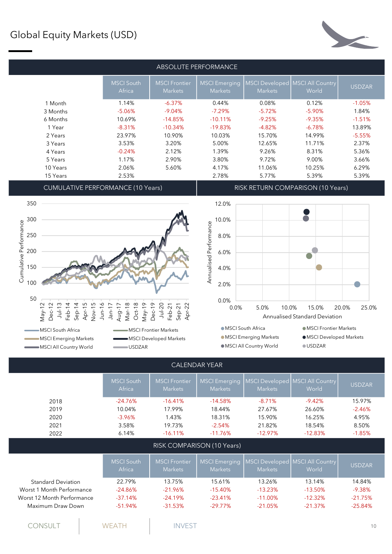### Global Equity Markets (USD)



| ABSOLUTE PERFORMANCE                                                                                                                                                                                                                                                                                              |                             |                                        |                                             |                                              |          |               |  |  |
|-------------------------------------------------------------------------------------------------------------------------------------------------------------------------------------------------------------------------------------------------------------------------------------------------------------------|-----------------------------|----------------------------------------|---------------------------------------------|----------------------------------------------|----------|---------------|--|--|
|                                                                                                                                                                                                                                                                                                                   | <b>MSCI</b> South<br>Africa | <b>MSCI</b> Frontier<br><b>Markets</b> | <b>MSCI Emerging</b><br><b>Markets</b>      | MSCI Developed   MSCI All Country<br>Markets | World    | <b>USDZAR</b> |  |  |
| 1 Month                                                                                                                                                                                                                                                                                                           | 1.14%                       | $-6.37%$                               | 0.44%                                       | 0.08%                                        | 0.12%    | $-1.05%$      |  |  |
| 3 Months                                                                                                                                                                                                                                                                                                          | $-5.06%$                    | $-9.04%$                               | $-7.29%$                                    | $-5.72%$                                     | $-5.90%$ | 1.84%         |  |  |
| 6 Months                                                                                                                                                                                                                                                                                                          | 10.69%                      | $-14.85%$                              | $-10.11\%$                                  | $-9.25%$                                     | $-9.35%$ | $-1.51%$      |  |  |
| 1 Year                                                                                                                                                                                                                                                                                                            | $-8.31%$                    | $-10.34%$                              | $-19.83%$                                   | $-4.82%$                                     | $-6.78%$ | 13.89%        |  |  |
| 2 Years                                                                                                                                                                                                                                                                                                           | 23.97%                      | 10.90%                                 | 10.03%                                      | 15.70%                                       | 14.99%   | $-5.55%$      |  |  |
| 3 Years                                                                                                                                                                                                                                                                                                           | 3.53%                       | 3.20%                                  | 5.00%                                       | 12.65%                                       | 11.71%   | 2.37%         |  |  |
| 4 Years                                                                                                                                                                                                                                                                                                           | $-0.24%$                    | 2.12%                                  | 1.39%                                       | 9.26%                                        | 8.31%    | 5.36%         |  |  |
| 5 Years                                                                                                                                                                                                                                                                                                           | 1.17%                       | 2.90%                                  | 3.80%                                       | 9.72%                                        | 9.00%    | 3.66%         |  |  |
| 10 Years                                                                                                                                                                                                                                                                                                          | 2.06%                       | 5.60%                                  | 4.17%                                       | 11.06%                                       | 10.25%   | 6.29%         |  |  |
| 15 Years                                                                                                                                                                                                                                                                                                          | 2.53%                       |                                        | 2.78%                                       | 5.77%                                        | 5.39%    | 5.39%         |  |  |
| $\bigcap_{i=1}^{n}$ , $\bigcup_{i=1}^{n}$ , $\bigcap_{i=1}^{n}$ , $\bigcap_{i=1}^{n}$ , $\bigcap_{i=1}^{n}$ , $\bigcap_{i=1}^{n}$ , $\bigcap_{i=1}^{n}$ , $\bigcap_{i=1}^{n}$ , $\bigcap_{i=1}^{n}$ , $\bigcap_{i=1}^{n}$ , $\bigcap_{i=1}^{n}$ , $\bigcap_{i=1}^{n}$ , $\bigcap_{i=1}^{n}$ , $\bigcap_{i=1}^{n}$ |                             |                                        | <b>PICIL RETURNI QQN IRA PICQNI 14 Q VI</b> |                                              |          |               |  |  |





MSCI All Country World **COUNTER COUPS** 





 $\bullet$  MSCI All Country World  $\bullet$  USDZAR

|                            | <b>MSCI</b> South<br>Africa | <b>MSCI Frontier</b><br><b>Markets</b> | <b>MSCI Emerging</b><br><b>Markets</b> | Markets        | MSCI Developed   MSCI All Country<br>World | <b>USDZAR</b> |
|----------------------------|-----------------------------|----------------------------------------|----------------------------------------|----------------|--------------------------------------------|---------------|
| 2018                       | $-24.76%$                   | $-16.41%$                              | $-14.58%$                              | $-8.71%$       | $-9.42%$                                   | 15.97%        |
| 2019                       | 10.04%                      | 17.99%                                 | 18.44%                                 | 27.67%         | 26.60%                                     | $-2.46%$      |
| 2020                       | $-3.96%$                    | 1.43%                                  | 18.31%                                 | 15.90%         | 16.25%                                     | 4.95%         |
| 2021                       | 3.58%                       | 19.73%                                 | $-2.54%$                               | 21.82%         | 18.54%                                     | 8.50%         |
| 2022                       | 6.14%                       | $-16.11%$                              | $-11.76%$                              | $-12.97%$      | $-12.83%$                                  | $-1.85%$      |
|                            |                             |                                        | RISK COMPARISON (10 Years)             |                |                                            |               |
|                            | <b>MSCI</b> South<br>Africa | <b>MSCI Frontier</b><br><b>Markets</b> | <b>MSCI Emerging</b><br><b>Markets</b> | <b>Markets</b> | MSCI Developed   MSCI All Country<br>World | <b>USDZAR</b> |
| <b>Standard Deviation</b>  | 22.79%                      | 13.75%                                 | 15.61%                                 | 13.26%         | 13.14%                                     | 14.84%        |
| Worst 1 Month Performance  | $-24.86%$                   | $-21.96%$                              | $-15.40%$                              | $-13.23%$      | $-13.50%$                                  | $-9.38%$      |
| Worst 12 Month Performance | $-37.14%$                   | $-24.19%$                              | $-23.41%$                              | $-11.00\%$     | $-12.32%$                                  | $-21.75%$     |
| Maximum Draw Down          | $-51.94%$                   | $-31.53%$                              | $-29.77\%$                             | $-21.05%$      | $-21.37%$                                  | $-25.84%$     |
|                            |                             |                                        |                                        |                |                                            |               |
| CONSULT                    |                             |                                        |                                        |                |                                            |               |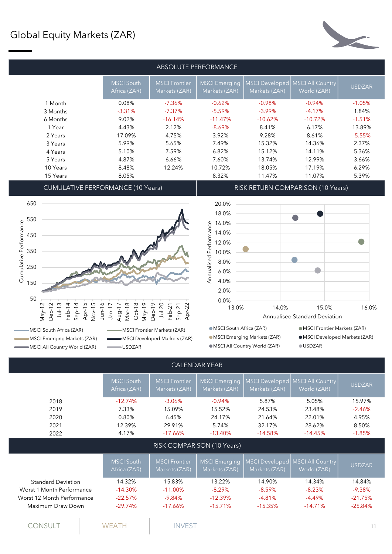### Global Equity Markets (ZAR)



| ABSOLUTE PERFORMANCE |                                   |                                       |                                       |                                 |                                 |               |  |  |
|----------------------|-----------------------------------|---------------------------------------|---------------------------------------|---------------------------------|---------------------------------|---------------|--|--|
|                      | <b>MSCI South</b><br>Africa (ZAR) | <b>MSCI Frontier</b><br>Markets (ZAR) | <b>MSCI Emerging</b><br>Markets (ZAR) | MSCI Developed<br>Markets (ZAR) | MSCI All Country<br>World (ZAR) | <b>USDZAR</b> |  |  |
| 1 Month              | 0.08%                             | $-7.36\%$                             | $-0.62%$                              | $-0.98%$                        | $-0.94%$                        | $-1.05%$      |  |  |
| 3 Months             | $-3.31%$                          | $-7.37\%$                             | $-5.59%$                              | $-3.99\%$                       | $-4.17%$                        | 1.84%         |  |  |
| 6 Months             | 9.02%                             | $-16.14%$                             | $-11.47%$                             | $-10.62%$                       | $-10.72%$                       | $-1.51%$      |  |  |
| 1 Year               | 4.43%                             | 2.12%                                 | $-8.69\%$                             | 8.41%                           | 6.17%                           | 13.89%        |  |  |
| 2 Years              | 17.09%                            | 4.75%                                 | 3.92%                                 | 9.28%                           | 8.61%                           | $-5.55%$      |  |  |
| 3 Years              | 5.99%                             | 5.65%                                 | 7.49%                                 | 15.32%                          | 14.36%                          | 2.37%         |  |  |
| 4 Years              | 5.10%                             | 7.59%                                 | 6.82%                                 | 15.12%                          | 14.11%                          | 5.36%         |  |  |
| 5 Years              | 4.87%                             | 6.66%                                 | 7.60%                                 | 13.74%                          | 12.99%                          | 3.66%         |  |  |
| 10 Years             | 8.48%                             | 12.24%                                | 10.72%                                | 18.05%                          | 17.19%                          | 6.29%         |  |  |
| 15 Years             | 8.05%                             |                                       | 8.32%                                 | 11.47%                          | 11.07%                          | 5.39%         |  |  |
| $\cdots$             |                                   |                                       |                                       |                                 |                                 |               |  |  |

CUMULATIVE PERFORMANCE (10 Years) RISK RETURN COMPARISON (10 Years)



MSCI All Country World (ZAR) **CONCILLATE:** USDZAR

MSCI South Africa (ZAR) MSCI Frontier Markets (ZAR) MSCI South Africa (ZAR)



- MSCI Emerging Markets (ZAR) MSCI Developed Markets (ZAR) MSCI Emerging Markets (ZAR) MSCI All Country World (ZAR) USDZAR
- $\bullet$  MSCI Frontier Markets (ZAR)
	- $\bullet$  MSCI Developed Markets (ZAR)
	-

|                            | <b>MSCI South</b><br>Africa (ZAR) | <b>MSCI Frontier</b><br>Markets (ZAR) | <b>MSCI Emerging</b><br>Markets (ZAR) | <b>MSCI Developed</b><br>Markets (ZAR) | <b>MSCI All Country</b><br>World (ZAR) | <b>USDZAR</b> |
|----------------------------|-----------------------------------|---------------------------------------|---------------------------------------|----------------------------------------|----------------------------------------|---------------|
| 2018                       | $-12.74%$                         | $-3.06%$                              | $-0.94%$                              | 5.87%                                  | 5.05%                                  | 15.97%        |
| 2019                       | 7.33%                             | 15.09%                                | 15.52%                                | 24.53%                                 | 23.48%                                 | $-2.46%$      |
| 2020                       | 0.80%                             | 6.45%                                 | 24.17%                                | 21.64%                                 | 22.01%                                 | 4.95%         |
| 2021                       | 12.39%                            | 29.91%                                | 5.74%                                 | 32.17%                                 | 28.62%                                 | 8.50%         |
| 2022                       | 4.17%                             | $-17.66%$                             | $-13.40%$                             | $-14.58%$                              | $-14.45%$                              | $-1.85%$      |
|                            |                                   |                                       | RISK COMPARISON (10 Years)            |                                        |                                        |               |
|                            | <b>MSCI South</b><br>Africa (ZAR) | <b>MSCI Frontier</b><br>Markets (ZAR) | <b>MSCI Emerging</b><br>Markets (ZAR) | <b>MSCI Developed</b><br>Markets (ZAR) | <b>MSCI All Country</b><br>World (ZAR) | <b>USDZAR</b> |
| <b>Standard Deviation</b>  | 14.32%                            | 15.83%                                | 13.22%                                | 14.90%                                 | 14.34%                                 | 14.84%        |
| Worst 1 Month Performance  | $-14.30%$                         | $-11.00\%$                            | $-8.29%$                              | $-8.59%$                               | $-8.23%$                               | $-9.38%$      |
| Worst 12 Month Performance | $-22.57%$                         | $-9.84%$                              | $-12.39%$                             | $-4.81%$                               | $-4.49\%$                              | $-21.75%$     |
| Maximum Draw Down          | $-29.74%$                         | $-17.66%$                             | $-15.71%$                             | $-15.35%$                              | $-14.71%$                              | $-25.84%$     |
|                            |                                   |                                       |                                       |                                        |                                        |               |
|                            |                                   |                                       |                                       |                                        |                                        |               |